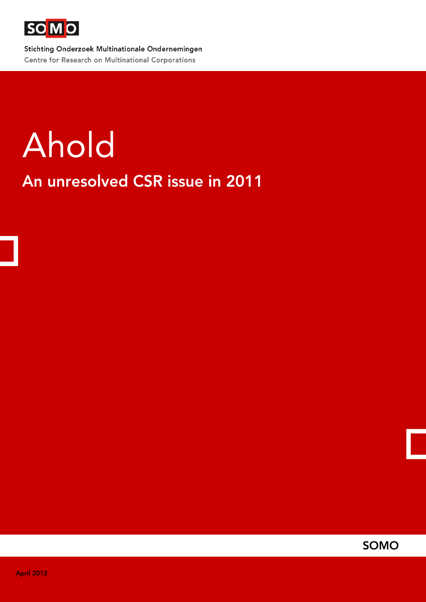

Stichting Onderzoek Multinationale Ondernemingen Centre for Research on Multinational Corporations

# Ahold

An unresolved CSR issue in 2011

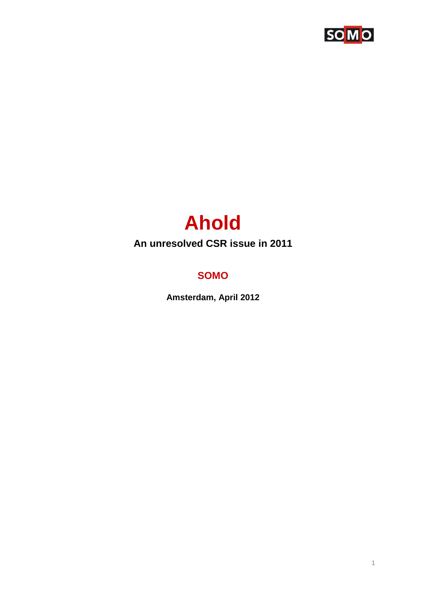

# **Ahold**

# An unresolved CSR issue in 2011

# **SOMO**

Amsterdam, April 2012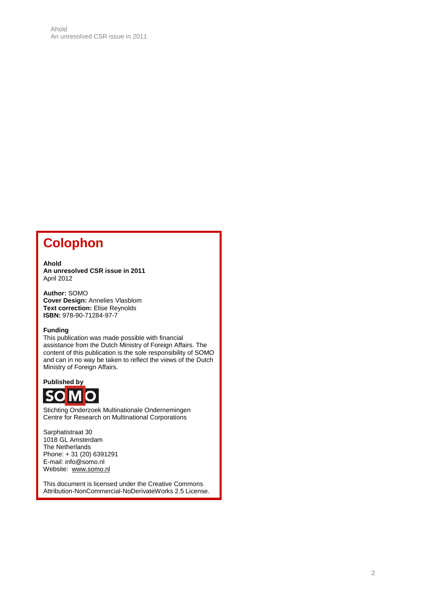# **Colophon**

#### **Ahold An unresolved CSR issue in 2011** April 2012

**Author:** SOMO **Cover Design:** Annelies Vlasblom **Text correction:** Elise Reynolds **ISBN:** 978-90-71284-97-7

#### **Funding**

This publication was made possible with financial assistance from the Dutch Ministry of Foreign Affairs. The content of this publication is the sole responsibility of SOMO and can in no way be taken to reflect the views of the Dutch Ministry of Foreign Affairs.

**Published by**



Stichting Onderzoek Multinationale Ondernemingen Centre for Research on Multinational Corporations

Sarphatistraat 30 1018 GL Amsterdam The Netherlands Phone: + 31 (20) 6391291 E-mail: info@somo.nl Website: [www.somo.nl](http://www.somo.nl/)

This document is licensed under the Creative Commons Attribution-NonCommercial-NoDerivateWorks 2.5 License.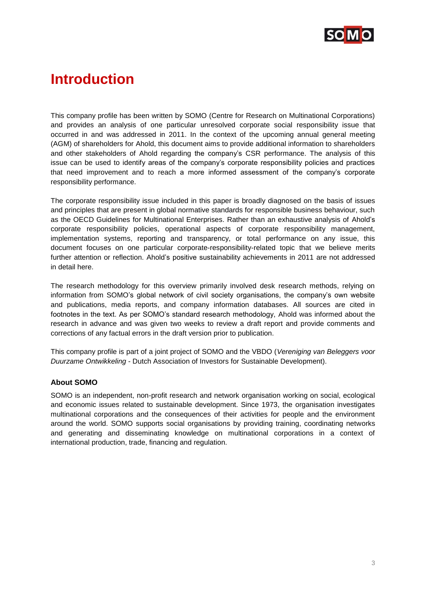

# **Introduction**

This company profile has been written by SOMO (Centre for Research on Multinational Corporations) and provides an analysis of one particular unresolved corporate social responsibility issue that occurred in and was addressed in 2011. In the context of the upcoming annual general meeting (AGM) of shareholders for Ahold, this document aims to provide additional information to shareholders and other stakeholders of Ahold regarding the company's CSR performance. The analysis of this issue can be used to identify areas of the company's corporate responsibility policies and practices that need improvement and to reach a more informed assessment of the company's corporate responsibility performance.

The corporate responsibility issue included in this paper is broadly diagnosed on the basis of issues and principles that are present in global normative standards for responsible business behaviour, such as the OECD Guidelines for Multinational Enterprises. Rather than an exhaustive analysis of Ahold's corporate responsibility policies, operational aspects of corporate responsibility management, implementation systems, reporting and transparency, or total performance on any issue, this document focuses on one particular corporate-responsibility-related topic that we believe merits further attention or reflection. Ahold's positive sustainability achievements in 2011 are not addressed in detail here.

The research methodology for this overview primarily involved desk research methods, relying on information from SOMO's global network of civil society organisations, the company's own website and publications, media reports, and company information databases. All sources are cited in footnotes in the text. As per SOMO's standard research methodology, Ahold was informed about the research in advance and was given two weeks to review a draft report and provide comments and corrections of any factual errors in the draft version prior to publication.

This company profile is part of a joint project of SOMO and the VBDO (*Vereniging van Beleggers voor Duurzame Ontwikkeling* - Dutch Association of Investors for Sustainable Development).

#### **About SOMO**

SOMO is an independent, non-profit research and network organisation working on social, ecological and economic issues related to sustainable development. Since 1973, the organisation investigates multinational corporations and the consequences of their activities for people and the environment around the world. SOMO supports social organisations by providing training, coordinating networks and generating and disseminating knowledge on multinational corporations in a context of international production, trade, financing and regulation.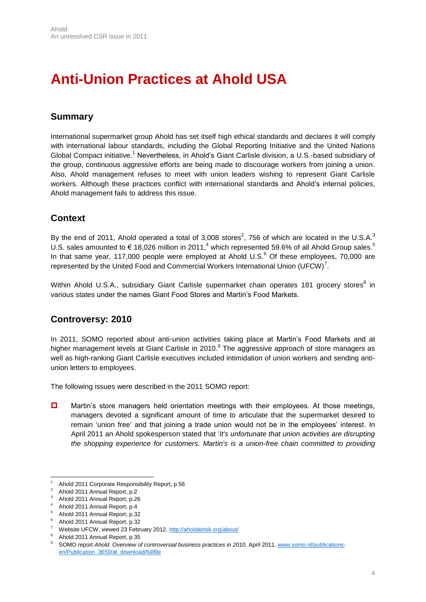# **Anti-Union Practices at Ahold USA**

## **Summary**

International supermarket group Ahold has set itself high ethical standards and declares it will comply with international labour standards, including the Global Reporting Initiative and the United Nations Global Compact initiative.<sup>1</sup> Nevertheless, in Ahold's Giant Carlisle division, a U.S.-based subsidiary of the group, continuous aggressive efforts are being made to discourage workers from joining a union. Also, Ahold management refuses to meet with union leaders wishing to represent Giant Carlisle workers. Although these practices conflict with international standards and Ahold's internal policies, Ahold management fails to address this issue.

## **Context**

By the end of 2011, Ahold operated a total of 3,008 stores<sup>2</sup>, 756 of which are located in the U.S.A.<sup>3</sup> U.S. sales amounted to  $\in$  18,026 million in 2011,<sup>4</sup> which represented 59.6% of all Ahold Group sales.<sup>5</sup> In that same year, 117,000 people were employed at Ahold U.S. $<sup>6</sup>$  Of these employees, 70,000 are</sup> represented by the United Food and Commercial Workers International Union (UFCW)<sup>7</sup>.

Within Ahold U.S.A., subsidiary Giant Carlisle supermarket chain operates 181 grocery stores<sup>8</sup> in various states under the names Giant Food Stores and Martin's Food Markets.

## **Controversy: 2010**

In 2011, SOMO reported about anti-union activities taking place at Martin's Food Markets and at higher management levels at Giant Carlisle in 2010.<sup>9</sup> The aggressive approach of store managers as well as high-ranking Giant Carlisle executives included intimidation of union workers and sending antiunion letters to employees.

The following issues were described in the 2011 SOMO report:

**D** Martin's store managers held orientation meetings with their employees. At those meetings, managers devoted a significant amount of time to articulate that the supermarket desired to remain 'union free' and that joining a trade union would not be in the employees' interest. In April 2011 an Ahold spokesperson stated that '*It's unfortunate that union activities are disrupting the shopping experience for customers. Martin's is a union-free chain committed to providing* 

 $\overline{a}$ <sup>1</sup> Ahold 2011 Corporate Responsibility Report, p.56<br> $\frac{2}{3}$  Ahold 2011 Appual Report, p.2

 $^2$  Ahold 2011 Annual Report, p.2

<sup>3</sup> Ahold 2011 Annual Report, p.26

<sup>4</sup> Ahold 2011 Annual Report, p.4

<sup>5</sup> Ahold 2011 Annual Report, p.32

<sup>6</sup> Ahold 2011 Annual Report, p.32

<sup>7</sup> Website UFCW, viewed 23 February 2012[. http://aholdatrisk.org/about/](http://aholdatrisk.org/about/)

<sup>8</sup> Ahold 2011 Annual Report, p.35

SOMO report *Ahold. Overview of controversial business practices in 2010.* April 2011[. www.somo.nl/publications](http://www.somo.nl/publications-en/Publication_3650/at_download/fullfile)[en/Publication\\_3650/at\\_download/fullfile](http://www.somo.nl/publications-en/Publication_3650/at_download/fullfile)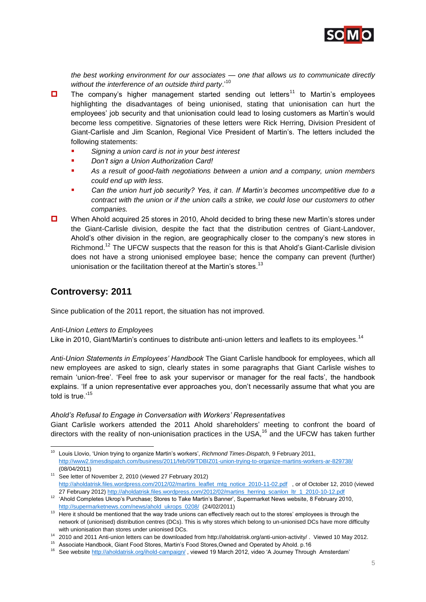

*the best working environment for our associates — one that allows us to communicate directly without the interference of an outside third party*.' 10

- $\Box$  The company's higher management started sending out letters<sup>11</sup> to Martin's employees highlighting the disadvantages of being unionised, stating that unionisation can hurt the employees' job security and that unionisation could lead to losing customers as Martin's would become less competitive. Signatories of these letters were Rick Herring, Division President of Giant-Carlisle and Jim Scanlon, Regional Vice President of Martin's. The letters included the following statements:
	- *Signing a union card is not in your best interest*
	- *Don't sign a Union Authorization Card!*
	- *As a result of good-faith negotiations between a union and a company, union members could end up with less.*
	- *Can the union hurt job security? Yes, it can. If Martin's becomes uncompetitive due to a contract with the union or if the union calls a strike, we could lose our customers to other companies.*
- When Ahold acquired 25 stores in 2010, Ahold decided to bring these new Martin's stores under the Giant-Carlisle division, despite the fact that the distribution centres of Giant-Landover, Ahold's other division in the region, are geographically closer to the company's new stores in Richmond.<sup>12</sup> The UFCW suspects that the reason for this is that Ahold's Giant-Carlisle division does not have a strong unionised employee base; hence the company can prevent (further) unionisation or the facilitation thereof at the Martin's stores.<sup>13</sup>

#### **Controversy: 2011**

Since publication of the 2011 report, the situation has not improved.

#### *Anti-Union Letters to Employees*

Like in 2010, Giant/Martin's continues to distribute anti-union letters and leaflets to its employees.<sup>14</sup>

*Anti-Union Statements in Employees' Handbook* The Giant Carlisle handbook for employees, which all new employees are asked to sign, clearly states in some paragraphs that Giant Carlisle wishes to remain 'union-free'. 'Feel free to ask your supervisor or manager for the real facts', the handbook explains. 'If a union representative ever approaches you, don't necessarily assume that what you are told is true.<sup>15</sup>

#### *Ahold's Refusal to Engage in Conversation with Workers' Representatives*

Giant Carlisle workers attended the 2011 Ahold shareholders' meeting to confront the board of directors with the reality of non-unionisation practices in the USA, $16$  and the UFCW has taken further

 $\overline{a}$ <sup>10</sup> Louis Llovio, 'Union trying to organize Martin's workers', *Richmond Times-Dispatch*, 9 February 2011, <http://www2.timesdispatch.com/business/2011/feb/09/TDBIZ01-union-trying-to-organize-martins-workers-ar-829738/> (08/04/2011)

<sup>11</sup> See letter of November 2, 2010 (viewed 27 February 2012) [http://aholdatrisk.files.wordpress.com/2012/02/martins\\_leaflet\\_mtg\\_notice\\_2010-11-02.pdf](http://aholdatrisk.files.wordpress.com/2012/02/martins_leaflet_mtg_notice_2010-11-02.pdf) , or of October 12, 2010 (viewed 27 February 2012[\) http://aholdatrisk.files.wordpress.com/2012/02/martins\\_herring\\_scanlon\\_ltr\\_1\\_2010-10-12.pdf](http://aholdatrisk.files.wordpress.com/2012/02/martins_herring_scanlon_ltr_1_2010-10-12.pdf)

<sup>12</sup> 'Ahold Completes Ukrop's Purchase; Stores to Take Martin's Banner', Supermarket News website, 8 February 2010, [http://supermarketnews.com/news/ahold\\_ukrops\\_0208/](http://supermarketnews.com/news/ahold_ukrops_0208/) (24/02/2011)

<sup>&</sup>lt;sup>13</sup> Here it should be mentioned that the way trade unions can effectively reach out to the stores' employees is through the network of (unionised) distribution centres (DCs). This is why stores which belong to un-unionised DCs have more difficulty with unionisation than stores under unionised DCs.

<sup>14</sup> 2010 and 2011 Anti-union letters can be downloaded from http://aholdatrisk.org/anti-union-activity/ . Viewed 10 May 2012.

<sup>15</sup> Associate Handbook, Giant Food Stores, Martin's Food Stores,Owned and Operated by Ahold. p.16

<sup>&</sup>lt;sup>16</sup> See websit[e http://aholdatrisk.org/ihold-campaign/](http://aholdatrisk.org/ihold-campaign/), viewed 19 March 2012, video 'A Journey Through Amsterdam'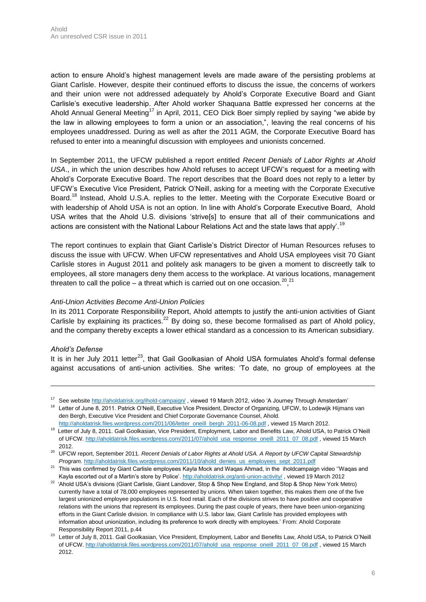action to ensure Ahold's highest management levels are made aware of the persisting problems at Giant Carlisle. However, despite their continued efforts to discuss the issue, the concerns of workers and their union were not addressed adequately by Ahold's Corporate Executive Board and Giant Carlisle's executive leadership. After Ahold worker Shaquana Battle expressed her concerns at the Ahold Annual General Meeting<sup>17</sup> in April, 2011, CEO Dick Boer simply replied by saying "we abide by the law in allowing employees to form a union or an association,", leaving the real concerns of his employees unaddressed. During as well as after the 2011 AGM, the Corporate Executive Board has refused to enter into a meaningful discussion with employees and unionists concerned.

In September 2011, the UFCW published a report entitled *Recent Denials of Labor Rights at Ahold USA*., in which the union describes how Ahold refuses to accept UFCW's request for a meeting with Ahold's Corporate Executive Board. The report describes that the Board does not reply to a letter by UFCW's Executive Vice President, Patrick O'Neill, asking for a meeting with the Corporate Executive Board.<sup>18</sup> Instead, Ahold U.S.A. replies to the letter. Meeting with the Corporate Executive Board or with leadership of Ahold USA is not an option. In line with Ahold's Corporate Executive Board, Ahold USA writes that the Ahold U.S. divisions 'strive[s] to ensure that all of their communications and actions are consistent with the National Labour Relations Act and the state laws that apply'.<sup>19</sup>

The report continues to explain that Giant Carlisle's District Director of Human Resources refuses to discuss the issue with UFCW. When UFCW representatives and Ahold USA employees visit 70 Giant Carlisle stores in August 2011 and politely ask managers to be given a moment to discreetly talk to employees, all store managers deny them access to the workplace. At various locations, management threaten to call the police – a threat which is carried out on one occasion.<sup>20</sup>,<sup>21</sup>

#### *Anti-Union Activities Become Anti-Union Policies*

In its 2011 Corporate Responsibility Report, Ahold attempts to justify the anti-union activities of Giant Carlisle by explaining its practices.<sup>22</sup> By doing so, these become formalised as part of Ahold policy, and the company thereby excepts a lower ethical standard as a concession to its American subsidiary.

#### *Ahold's Defense*

 $\overline{a}$ 

It is in her July 2011 letter<sup>23</sup>, that Gail Goolkasian of Ahold USA formulates Ahold's formal defense against accusations of anti-union activities. She writes: 'To date, no group of employees at the

<sup>&</sup>lt;sup>17</sup> See websit[e http://aholdatrisk.org/ihold-campaign/](http://aholdatrisk.org/ihold-campaign/), viewed 19 March 2012, video 'A Journey Through Amsterdam'

<sup>&</sup>lt;sup>18</sup> Letter of June 8, 2011. Patrick O'Neill, Executive Vice President, Director of Organizing, UFCW, to Lodewijk Hijmans van den Bergh, Executive Vice President and Chief Corporate Governance Counsel, Ahold.

[http://aholdatrisk.files.wordpress.com/2011/06/letter\\_oneill\\_bergh\\_2011-06-08.pdf](http://aholdatrisk.files.wordpress.com/2011/06/letter_oneill_bergh_2011-06-08.pdf), viewed 15 March 2012. <sup>19</sup> Letter of July 8, 2011. Gail Goolkasian, Vice President, Employment, Labor and Benefits Law, Ahold USA, to Patrick O'Neill of UFCW[. http://aholdatrisk.files.wordpress.com/2011/07/ahold\\_usa\\_response\\_oneill\\_2011\\_07\\_08.pdf](http://aholdatrisk.files.wordpress.com/2011/07/ahold_usa_response_oneill_2011_07_08.pdf) , viewed 15 March 2012.

<sup>20</sup> UFCW report, September 2011. *Recent Denials of Labor Rights at Ahold USA. A Report by UFCW Capital Stewardship Program.* [http://aholdatrisk.files.wordpress.com/2011/10/ahold\\_denies\\_us\\_employees\\_sept\\_2011.pdf](http://aholdatrisk.files.wordpress.com/2011/10/ahold_denies_us_employees_sept_2011.pdf)

<sup>&</sup>lt;sup>21</sup> This was confirmed by Giant Carlisle employees Kayla Mock and Waqas Ahmad, in the iholdcampaign video "Waqas and Kayla escorted out of a Martin's store by Police'[. http://aholdatrisk.org/anti-union-activity/](http://aholdatrisk.org/anti-union-activity/), viewed 19 March 2012

<sup>&</sup>lt;sup>22</sup> 'Ahold USA's divisions (Giant Carlisle, Giant Landover, Stop & Shop New England, and Stop & Shop New York Metro) currently have a total of 78,000 employees represented by unions. When taken together, this makes them one of the five largest unionized employee populations in U.S. food retail. Each of the divisions strives to have positive and cooperative relations with the unions that represent its employees. During the past couple of years, there have been union-organizing efforts in the Giant Carlisle division. In compliance with U.S. labor law, Giant Carlisle has provided employees with information about unionization, including its preference to work directly with employees.' From: Ahold Corporate Responsibility Report 2011, p.44

<sup>&</sup>lt;sup>23</sup> Letter of July 8, 2011. Gail Goolkasian, Vice President, Employment, Labor and Benefits Law, Ahold USA, to Patrick O'Neill of UFCW[. http://aholdatrisk.files.wordpress.com/2011/07/ahold\\_usa\\_response\\_oneill\\_2011\\_07\\_08.pdf](http://aholdatrisk.files.wordpress.com/2011/07/ahold_usa_response_oneill_2011_07_08.pdf) , viewed 15 March 2012.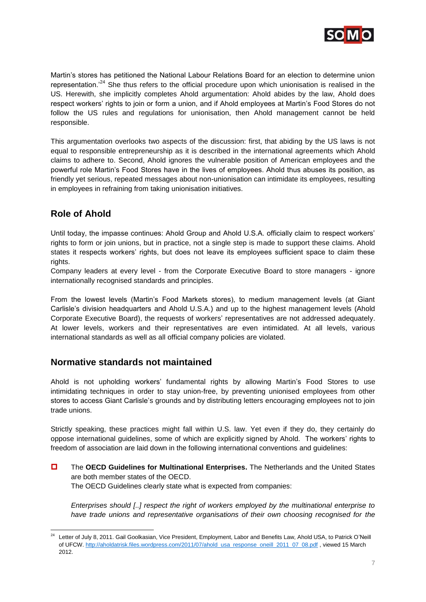

Martin's stores has petitioned the National Labour Relations Board for an election to determine union representation.<sup>24</sup> She thus refers to the official procedure upon which unionisation is realised in the US. Herewith, she implicitly completes Ahold argumentation: Ahold abides by the law, Ahold does respect workers' rights to join or form a union, and if Ahold employees at Martin's Food Stores do not follow the US rules and regulations for unionisation, then Ahold management cannot be held responsible.

This argumentation overlooks two aspects of the discussion: first, that abiding by the US laws is not equal to responsible entrepreneurship as it is described in the international agreements which Ahold claims to adhere to. Second, Ahold ignores the vulnerable position of American employees and the powerful role Martin's Food Stores have in the lives of employees. Ahold thus abuses its position, as friendly yet serious, repeated messages about non-unionisation can intimidate its employees, resulting in employees in refraining from taking unionisation initiatives.

## **Role of Ahold**

 $\overline{a}$ 

Until today, the impasse continues: Ahold Group and Ahold U.S.A. officially claim to respect workers' rights to form or join unions, but in practice, not a single step is made to support these claims. Ahold states it respects workers' rights, but does not leave its employees sufficient space to claim these rights.

Company leaders at every level - from the Corporate Executive Board to store managers - ignore internationally recognised standards and principles.

From the lowest levels (Martin's Food Markets stores), to medium management levels (at Giant Carlisle's division headquarters and Ahold U.S.A.) and up to the highest management levels (Ahold Corporate Executive Board), the requests of workers' representatives are not addressed adequately. At lower levels, workers and their representatives are even intimidated. At all levels, various international standards as well as all official company policies are violated.

### **Normative standards not maintained**

Ahold is not upholding workers' fundamental rights by allowing Martin's Food Stores to use intimidating techniques in order to stay union-free, by preventing unionised employees from other stores to access Giant Carlisle's grounds and by distributing letters encouraging employees not to join trade unions.

Strictly speaking, these practices might fall within U.S. law. Yet even if they do, they certainly do oppose international guidelines, some of which are explicitly signed by Ahold. The workers' rights to freedom of association are laid down in the following international conventions and guidelines:

 The **OECD Guidelines for Multinational Enterprises.** The Netherlands and the United States are both member states of the OECD. The OECD Guidelines clearly state what is expected from companies:

*Enterprises should [..] respect the right of workers employed by the multinational enterprise to have trade unions and representative organisations of their own choosing recognised for the* 

Letter of July 8, 2011. Gail Goolkasian, Vice President, Employment, Labor and Benefits Law, Ahold USA, to Patrick O'Neill of UFCW[. http://aholdatrisk.files.wordpress.com/2011/07/ahold\\_usa\\_response\\_oneill\\_2011\\_07\\_08.pdf](http://aholdatrisk.files.wordpress.com/2011/07/ahold_usa_response_oneill_2011_07_08.pdf) , viewed 15 March 2012.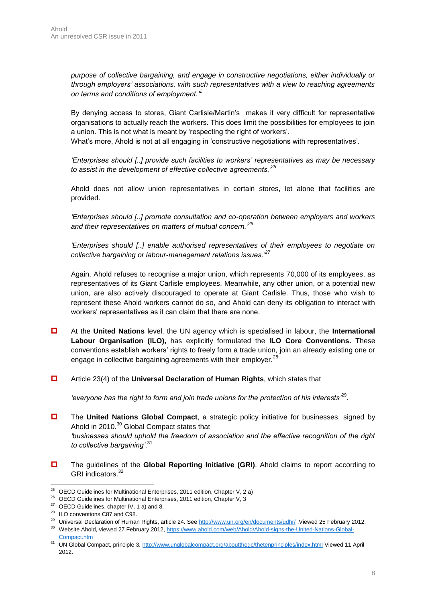*purpose of collective bargaining, and engage in constructive negotiations, either individually or through employers' associations, with such representatives with a view to reaching agreements on terms and conditions of employment.'<sup>1</sup>*

By denying access to stores, Giant Carlisle/Martin's makes it very difficult for representative organisations to actually reach the workers. This does limit the possibilities for employees to join a union. This is not what is meant by 'respecting the right of workers'.

What's more, Ahold is not at all engaging in 'constructive negotiations with representatives'.

*'Enterprises should [..] provide such facilities to workers' representatives as may be necessary to assist in the development of effective collective agreements.'<sup>25</sup>*

Ahold does not allow union representatives in certain stores, let alone that facilities are provided.

*'Enterprises should [..] promote consultation and co-operation between employers and workers and their representatives on matters of mutual concern.'<sup>26</sup>*

*'Enterprises should [..] enable authorised representatives of their employees to negotiate on collective bargaining or labour-management relations issues.'<sup>27</sup>*

Again, Ahold refuses to recognise a major union, which represents 70,000 of its employees, as representatives of its Giant Carlisle employees. Meanwhile, any other union, or a potential new union, are also actively discouraged to operate at Giant Carlisle. Thus, those who wish to represent these Ahold workers cannot do so, and Ahold can deny its obligation to interact with workers' representatives as it can claim that there are none.

- At the **United Nations** level, the UN agency which is specialised in labour, the **International Labour Organisation (ILO),** has explicitly formulated the **ILO Core Conventions.** These conventions establish workers' rights to freely form a trade union, join an already existing one or engage in collective bargaining agreements with their employer.<sup>28</sup>
- Article 23(4) of the **Universal Declaration of Human Rights**, which states that

*'everyone has the right to form and join trade unions for the protection of his interests'*<sup>29</sup> .

- The **United Nations Global Compact**, a strategic policy initiative for businesses, signed by Ahold in 2010.<sup>30</sup> Global Compact states that *'businesses should uphold the freedom of association and the effective recognition of the right to collective bargaining'*. 31
- The guidelines of the **Global Reporting Initiative (GRI)**. Ahold claims to report according to GRI indicators.<sup>32</sup>

 $\overline{a}$ <sup>25</sup> OECD Guidelines for Multinational Enterprises, 2011 edition, Chapter V, 2 a)

 $26$  OECD Guidelines for Multinational Enterprises, 2011 edition, Chapter V, 3

 $27$  OECD Guidelines, chapter IV, 1 a) and 8.

<sup>&</sup>lt;sup>28</sup> ILO conventions C87 and C98.

<sup>&</sup>lt;sup>29</sup> Universal Declaration of Human Rights, article 24. See<http://www.un.org/en/documents/udhr/> .Viewed 25 February 2012.

<sup>30</sup> Website Ahold, viewed 27 February 2012, [https://www.ahold.com/web/Ahold/Ahold-signs-the-United-Nations-Global-](https://www.ahold.com/web/Ahold/Ahold-signs-the-United-Nations-Global-Compact.htm)[Compact.htm](https://www.ahold.com/web/Ahold/Ahold-signs-the-United-Nations-Global-Compact.htm)

<sup>31</sup> UN Global Compact, principle 3[. http://www.unglobalcompact.org/aboutthegc/thetenprinciples/index.html](http://www.unglobalcompact.org/aboutthegc/thetenprinciples/index.html) Viewed 11 April 2012.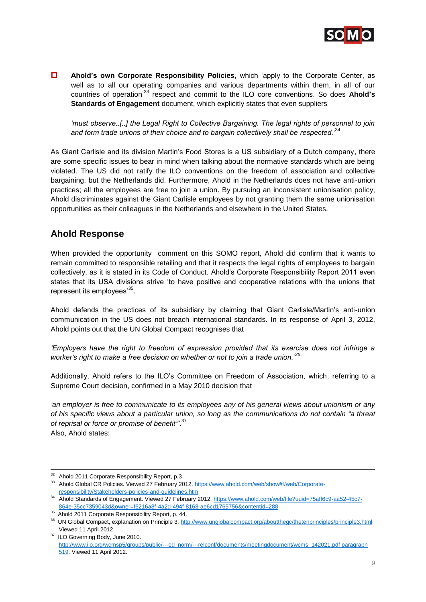

 **Ahold's own Corporate Responsibility Policies**, which 'apply to the Corporate Center, as well as to all our operating companies and various departments within them, in all of our countries of operation' <sup>33</sup> respect and commit to the ILO core conventions. So does **Ahold's Standards of Engagement** document, which explicitly states that even suppliers

*'must observe..[..] the Legal Right to Collective Bargaining. The legal rights of personnel to join and form trade unions of their choice and to bargain collectively shall be respected.'*<sup>34</sup>

As Giant Carlisle and its division Martin's Food Stores is a US subsidiary of a Dutch company, there are some specific issues to bear in mind when talking about the normative standards which are being violated. The US did not ratify the ILO conventions on the freedom of association and collective bargaining, but the Netherlands did. Furthermore, Ahold in the Netherlands does not have anti-union practices; all the employees are free to join a union. By pursuing an inconsistent unionisation policy, Ahold discriminates against the Giant Carlisle employees by not granting them the same unionisation opportunities as their colleagues in the Netherlands and elsewhere in the United States.

### **Ahold Response**

When provided the opportunity comment on this SOMO report, Ahold did confirm that it wants to remain committed to responsible retailing and that it respects the legal rights of employees to bargain collectively, as it is stated in its Code of Conduct. Ahold's Corporate Responsibility Report 2011 even states that its USA divisions strive 'to have positive and cooperative relations with the unions that represent its employees'<sup>35</sup>.

Ahold defends the practices of its subsidiary by claiming that Giant Carlisle/Martin's anti-union communication in the US does not breach international standards. In its response of April 3, 2012, Ahold points out that the UN Global Compact recognises that

*'Employers have the right to freedom of expression provided that its exercise does not infringe a worker's right to make a free decision on whether or not to join a trade union.'<sup>36</sup>*

Additionally, Ahold refers to the ILO's Committee on Freedom of Association, which, referring to a Supreme Court decision, confirmed in a May 2010 decision that

*'an employer is free to communicate to its employees any of his general views about unionism or any of his specific views about a particular union, so long as the communications do not contain "a threat of reprisal or force or promise of benefit"'*. 37 Also, Ahold states:

 $\overline{a}$  $32$  Ahold 2011 Corporate Responsibility Report, p.3

<sup>&</sup>lt;sup>33</sup> Ahold Global CR Policies. Viewed 27 February 2012. [https://www.ahold.com/web/show#!/web/Corporate](https://www.ahold.com/web/show#!/web/Corporate-responsibility/Stakeholders-policies-and-guidelines.htm)[responsibility/Stakeholders-policies-and-guidelines.htm](https://www.ahold.com/web/show#!/web/Corporate-responsibility/Stakeholders-policies-and-guidelines.htm)

<sup>34</sup> Ahold Standards of Engagement. Viewed 27 February 2012[. https://www.ahold.com/web/file?uuid=75aff6c9-aa52-45c7-](https://www.ahold.com/web/file?uuid=75aff6c9-aa52-45c7-864e-35cc7359043d&owner=f6216a8f-4a2d-494f-8168-ae6cd1765756&contentid=288) [864e-35cc7359043d&owner=f6216a8f-4a2d-494f-8168-ae6cd1765756&contentid=288](https://www.ahold.com/web/file?uuid=75aff6c9-aa52-45c7-864e-35cc7359043d&owner=f6216a8f-4a2d-494f-8168-ae6cd1765756&contentid=288)

<sup>35</sup> Ahold 2011 Corporate Responsibility Report, p. 44.

<sup>&</sup>lt;sup>36</sup> UN Global Compact, explanation on Principle 3[. http://www.unglobalcompact.org/aboutthegc/thetenprinciples/principle3.html](http://www.unglobalcompact.org/aboutthegc/thetenprinciples/principle3.html) Viewed 11 April 2012.

<sup>&</sup>lt;sup>37</sup> ILO Governing Body, June 2010. [http://www.ilo.org/wcmsp5/groups/public/---ed\\_norm/---relconf/documents/meetingdocument/wcms\\_142021.pdf paragraph](http://www.ilo.org/wcmsp5/groups/public/---ed_norm/---relconf/documents/meetingdocument/wcms_142021.pdf%20paragraph%20519)  [519.](http://www.ilo.org/wcmsp5/groups/public/---ed_norm/---relconf/documents/meetingdocument/wcms_142021.pdf%20paragraph%20519) Viewed 11 April 2012.